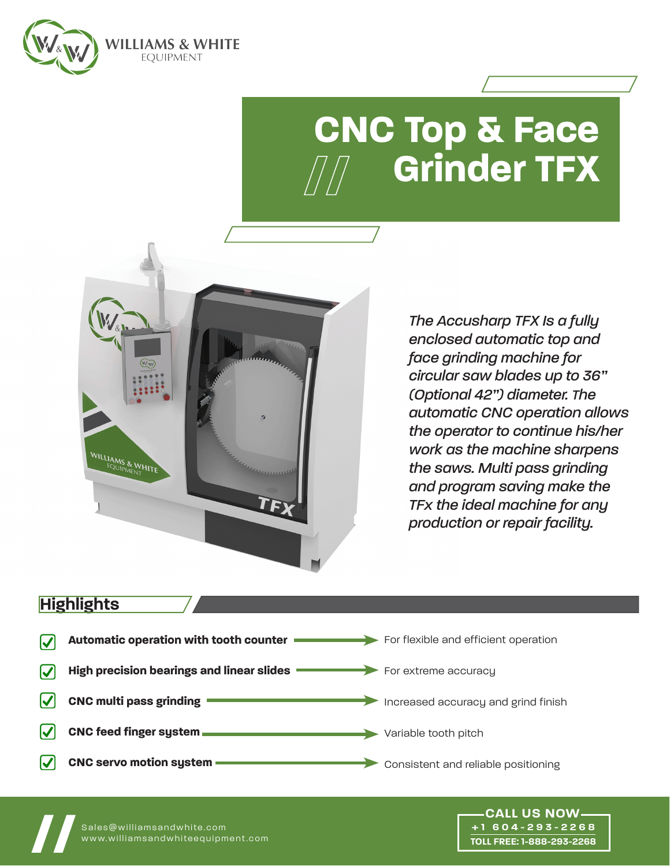

# **CNC Top & Face Grinder TFX**



*The Accusharp TFX Is a fully enclosed automatic top and face grinding machine for circular saw blades up to 36" (Optional 42") diameter. The automatic CNC operation allows the operator to continue his/her work as the machine sharpens the saws. Multi pass grinding and program saving make the TFx the ideal machine for any production or repair facility.*

> **+1 604-293-2268 TOLL FREE: 1-888-293-2268**

# **Highlights**



Sales@williamsandwhite.com<br><u>www</u>.williamsandwhiteequipment.com www.williamsandwhiteequipment.com **// CALL US NOW**